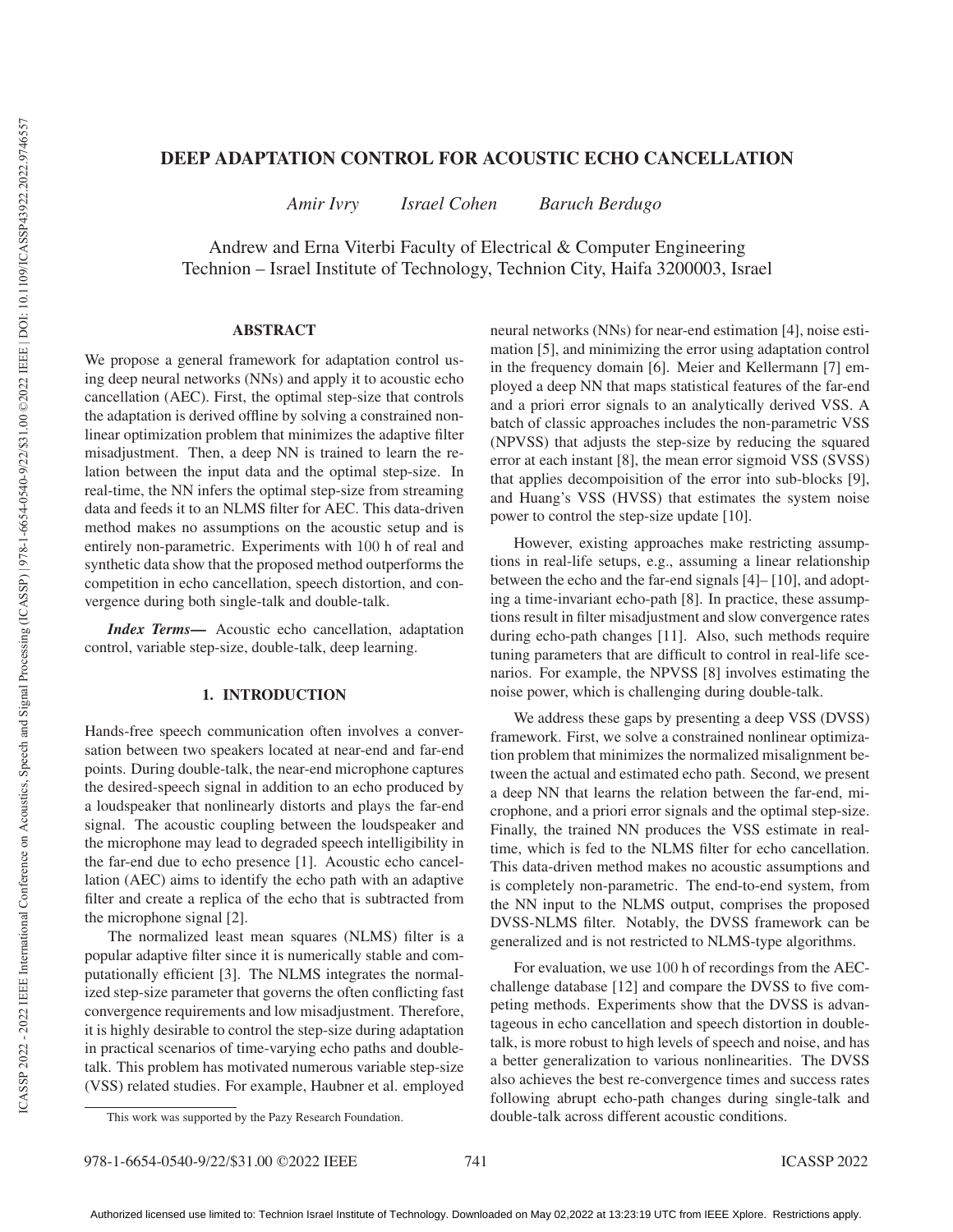# DEEP ADAPTATION CONTROL FOR ACOUSTIC ECHO CANCELLATION

*Amir Ivry Israel Cohen Baruch Berdugo*

Andrew and Erna Viterbi Faculty of Electrical & Computer Engineering Technion – Israel Institute of Technology, Technion City, Haifa 3200003, Israel

# ABSTRACT

We propose a general framework for adaptation control using deep neural networks (NNs) and apply it to acoustic echo cancellation (AEC). First, the optimal step-size that controls the adaptation is derived offline by solving a constrained nonlinear optimization problem that minimizes the adaptive filter misadjustment. Then, a deep NN is trained to learn the relation between the input data and the optimal step-size. In real-time, the NN infers the optimal step-size from streaming data and feeds it to an NLMS filter for AEC. This data-driven method makes no assumptions on the acoustic setup and is entirely non-parametric. Experiments with 100 h of real and synthetic data show that the proposed method outperforms the competition in echo cancellation, speech distortion, and convergence during both single-talk and double-talk.

*Index Terms*— Acoustic echo cancellation, adaptation control, variable step-size, double-talk, deep learning.

# 1. INTRODUCTION

Hands-free speech communication often involves a conversation between two speakers located at near-end and far-end points. During double-talk, the near-end microphone captures the desired-speech signal in addition to an echo produced by a loudspeaker that nonlinearly distorts and plays the far-end signal. The acoustic coupling between the loudspeaker and the microphone may lead to degraded speech intelligibility in the far-end due to echo presence [1]. Acoustic echo cancellation (AEC) aims to identify the echo path with an adaptive filter and create a replica of the echo that is subtracted from the microphone signal [2].

The normalized least mean squares (NLMS) filter is a popular adaptive filter since it is numerically stable and computationally efficient [3]. The NLMS integrates the normalized step-size parameter that governs the often conflicting fast convergence requirements and low misadjustment. Therefore, it is highly desirable to control the step-size during adaptation in practical scenarios of time-varying echo paths and doubletalk. This problem has motivated numerous variable step-size (VSS) related studies. For example, Haubner et al. employed neural networks (NNs) for near-end estimation [4], noise estimation [5], and minimizing the error using adaptation control in the frequency domain [6]. Meier and Kellermann [7] employed a deep NN that maps statistical features of the far-end and a priori error signals to an analytically derived VSS. A batch of classic approaches includes the non-parametric VSS (NPVSS) that adjusts the step-size by reducing the squared error at each instant [8], the mean error sigmoid VSS (SVSS) that applies decompoisition of the error into sub-blocks [9], and Huang's VSS (HVSS) that estimates the system noise power to control the step-size update [10].

However, existing approaches make restricting assumptions in real-life setups, e.g., assuming a linear relationship between the echo and the far-end signals [4]– [10], and adopting a time-invariant echo-path [8]. In practice, these assumptions result in filter misadjustment and slow convergence rates during echo-path changes [11]. Also, such methods require tuning parameters that are difficult to control in real-life scenarios. For example, the NPVSS [8] involves estimating the noise power, which is challenging during double-talk.

We address these gaps by presenting a deep VSS (DVSS) framework. First, we solve a constrained nonlinear optimization problem that minimizes the normalized misalignment between the actual and estimated echo path. Second, we present a deep NN that learns the relation between the far-end, microphone, and a priori error signals and the optimal step-size. Finally, the trained NN produces the VSS estimate in realtime, which is fed to the NLMS filter for echo cancellation. This data-driven method makes no acoustic assumptions and is completely non-parametric. The end-to-end system, from the NN input to the NLMS output, comprises the proposed DVSS-NLMS filter. Notably, the DVSS framework can be generalized and is not restricted to NLMS-type algorithms.

For evaluation, we use 100 h of recordings from the AECchallenge database [12] and compare the DVSS to five competing methods. Experiments show that the DVSS is advantageous in echo cancellation and speech distortion in doubletalk, is more robust to high levels of speech and noise, and has a better generalization to various nonlinearities. The DVSS also achieves the best re-convergence times and success rates following abrupt echo-path changes during single-talk and double-talk across different acoustic conditions.

This work was supported by the Pazy Research Foundation.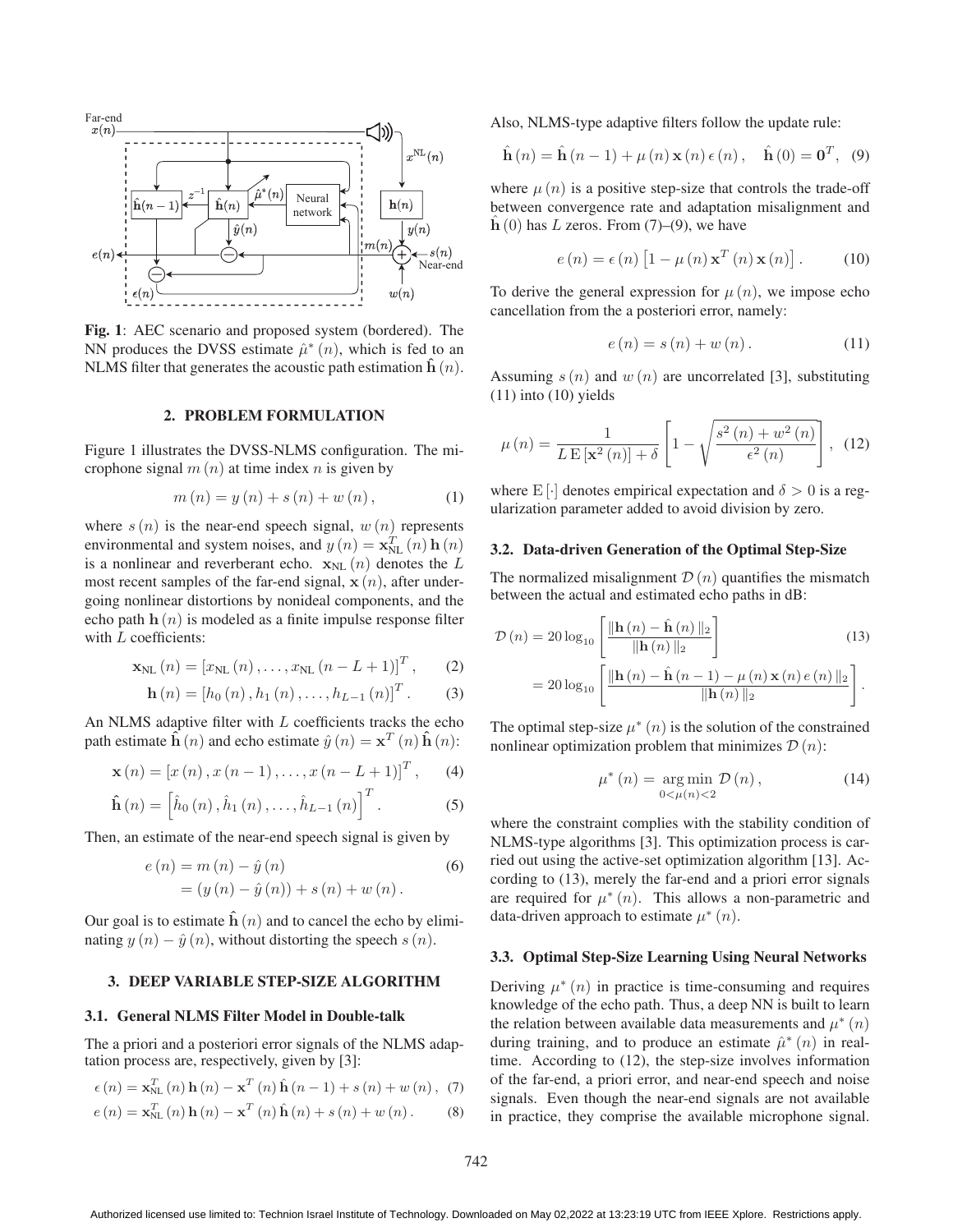

Fig. 1: AEC scenario and proposed system (bordered). The NN produces the DVSS estimate  $\hat{\mu}^*(n)$ , which is fed to an NLMS filter that generates the acoustic path estimation  $\hat{\mathbf{h}}(n)$ .

#### 2. PROBLEM FORMULATION

Figure 1 illustrates the DVSS-NLMS configuration. The microphone signal  $m(n)$  at time index n is given by

$$
m(n) = y(n) + s(n) + w(n),
$$
 (1)

where  $s(n)$  is the near-end speech signal,  $w(n)$  represents environmental and system noises, and  $y(n) = \mathbf{x}_{NL}^{T}(n) \mathbf{h}(n)$ <br>is a nonlinear and reverberant echo,  $\mathbf{x}_{N}(n)$  denotes the L is a nonlinear and reverberant echo.  $\mathbf{x}_{NL}$  (n) denotes the L most recent samples of the far-end signal,  $\mathbf{x}(n)$ , after undergoing nonlinear distortions by nonideal components, and the echo path  $h(n)$  is modeled as a finite impulse response filter with L coefficients:

$$
\mathbf{x}_{\text{NL}}\left(n\right) = \left[x_{\text{NL}}\left(n\right), \ldots, x_{\text{NL}}\left(n-L+1\right)\right]^T, \qquad (2)
$$

$$
\mathbf{h}(n) = [h_0(n), h_1(n), \dots, h_{L-1}(n)]^T.
$$
 (3)

An NLMS adaptive filter with  $L$  coefficients tracks the echo path estimate  $\hat{\mathbf{h}}(n)$  and echo estimate  $\hat{y}(n) = \mathbf{x}^{T}(n) \hat{\mathbf{h}}(n)$ :

$$
\mathbf{x}(n) = [x(n), x(n-1), \dots, x(n-L+1)]^T, \quad (4)
$$

$$
\hat{\mathbf{h}}(n) = \left[\hat{h}_0(n), \hat{h}_1(n), \dots, \hat{h}_{L-1}(n)\right]^T.
$$
 (5)

Then, an estimate of the near-end speech signal is given by

$$
e(n) = m(n) - \hat{y}(n)
$$
  
=  $(y(n) - \hat{y}(n)) + s(n) + w(n)$ . (6)

Our goal is to estimate  $\hat{h}(n)$  and to cancel the echo by eliminating  $y(n) - \hat{y}(n)$ , without distorting the speech s  $(n)$ .

#### 3. DEEP VARIABLE STEP-SIZE ALGORITHM

#### 3.1. General NLMS Filter Model in Double-talk

The a priori and a posteriori error signals of the NLMS adaptation process are, respectively, given by [3]:

$$
\epsilon(n) = \mathbf{x}_{\text{NL}}^T(n)\mathbf{h}(n) - \mathbf{x}^T(n)\hat{\mathbf{h}}(n-1) + s(n) + w(n), \tag{7}
$$

$$
e(n) = \mathbf{x}_{\rm NL}^T(n) \mathbf{h}(n) - \mathbf{x}^T(n) \mathbf{\hat{h}}(n) + s(n) + w(n).
$$
 (8)

Also, NLMS-type adaptive filters follow the update rule:

$$
\hat{\mathbf{h}}(n) = \hat{\mathbf{h}}(n-1) + \mu(n)\mathbf{x}(n) \epsilon(n), \quad \hat{\mathbf{h}}(0) = \mathbf{0}^T, \tag{9}
$$

where  $\mu(n)$  is a positive step-size that controls the trade-off between convergence rate and adaptation misalignment and  $h(0)$  has L zeros. From  $(7)$ – $(9)$ , we have

$$
e(n) = \epsilon(n) \left[1 - \mu(n) \mathbf{x}^{T}(n) \mathbf{x}(n)\right].
$$
 (10)

To derive the general expression for  $\mu(n)$ , we impose echo cancellation from the a posteriori error, namely:

$$
e(n) = s(n) + w(n). \tag{11}
$$

Assuming  $s(n)$  and  $w(n)$  are uncorrelated [3], substituting  $(11)$  into  $(10)$  yields

$$
\mu(n) = \frac{1}{L\operatorname{E}\left[\mathbf{x}^{2}\left(n\right)\right] + \delta} \left[1 - \sqrt{\frac{s^{2}\left(n\right) + w^{2}\left(n\right)}{\epsilon^{2}\left(n\right)}}\right], \tag{12}
$$

where E [·] denotes empirical expectation and  $\delta > 0$  is a regularization parameter added to avoid division by zero.

#### 3.2. Data-driven Generation of the Optimal Step-Size

The normalized misalignment  $\mathcal{D}(n)$  quantifies the mismatch between the actual and estimated echo paths in dB:

$$
\mathcal{D}(n) = 20 \log_{10} \left[ \frac{\|\mathbf{h}(n) - \hat{\mathbf{h}}(n)\|_{2}}{\|\mathbf{h}(n)\|_{2}} \right]
$$
(13)  
= 20 log<sub>10</sub>  $\left[ \frac{\|\mathbf{h}(n) - \hat{\mathbf{h}}(n-1) - \mu(n)\mathbf{x}(n) e(n)\|_{2}}{\|\mathbf{h}(n)\|_{2}} \right].$ 

The optimal step-size  $\mu^*(n)$  is the solution of the constrained nonlinear optimization problem that minimizes  $\mathcal{D}(n)$ :

$$
\mu^*(n) = \underset{0 < \mu(n) < 2}{\arg \min} \mathcal{D}(n), \qquad (14)
$$

where the constraint complies with the stability condition of NLMS-type algorithms [3]. This optimization process is carried out using the active-set optimization algorithm [13]. According to (13), merely the far-end and a priori error signals are required for  $\mu^*(n)$ . This allows a non-parametric and data-driven approach to estimate  $\mu^*(n)$ .

### 3.3. Optimal Step-Size Learning Using Neural Networks

Deriving  $\mu^*(n)$  in practice is time-consuming and requires knowledge of the echo path. Thus, a deep NN is built to learn the relation between available data measurements and  $\mu^*(n)$ during training, and to produce an estimate  $\hat{\mu}^*(n)$  in realtime. According to (12), the step-size involves information of the far-end, a priori error, and near-end speech and noise signals. Even though the near-end signals are not available in practice, they comprise the available microphone signal.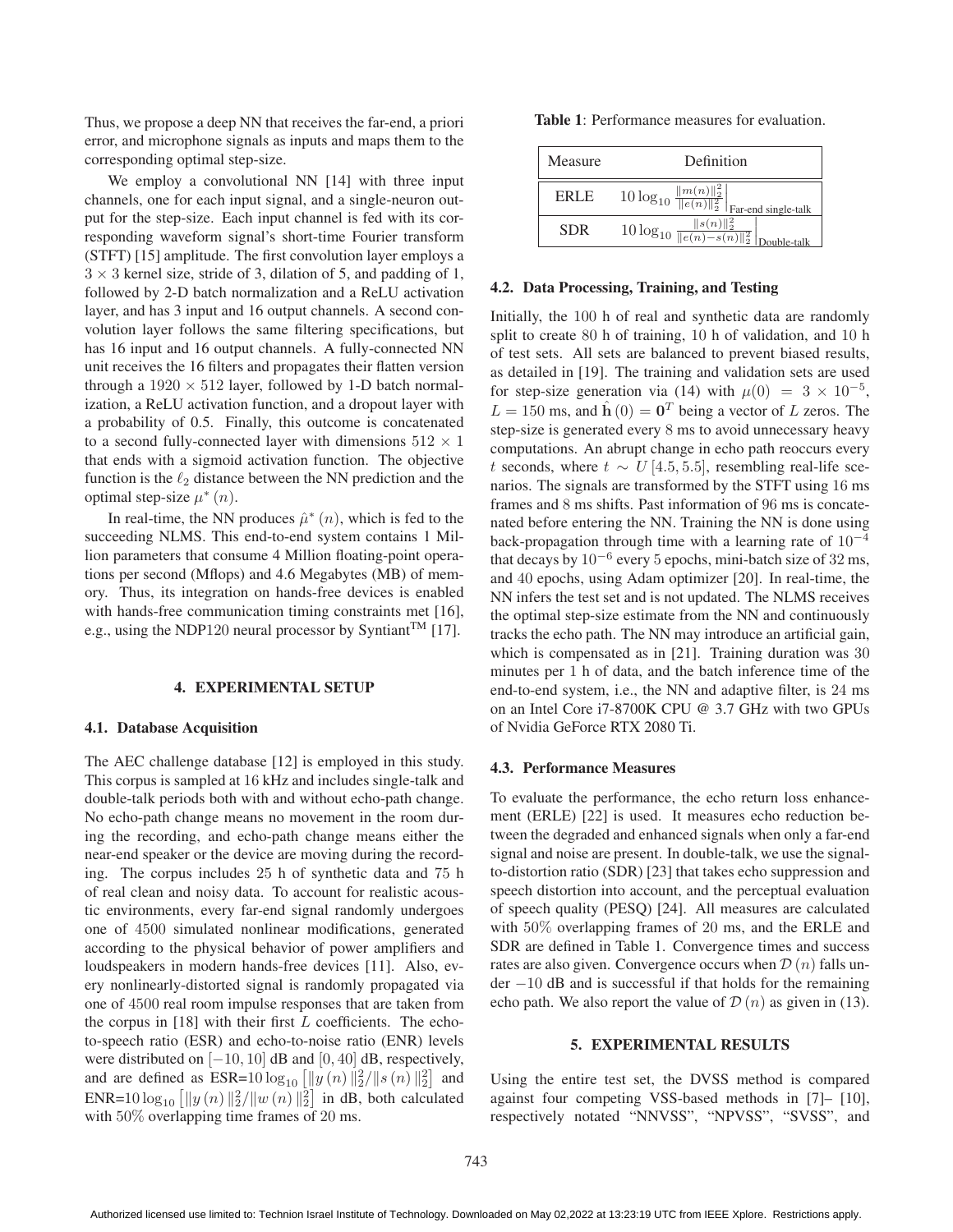Thus, we propose a deep NN that receives the far-end, a priori error, and microphone signals as inputs and maps them to the corresponding optimal step-size.

We employ a convolutional NN [14] with three input channels, one for each input signal, and a single-neuron output for the step-size. Each input channel is fed with its corresponding waveform signal's short-time Fourier transform (STFT) [15] amplitude. The first convolution layer employs a  $3 \times 3$  kernel size, stride of 3, dilation of 5, and padding of 1, followed by 2-D batch normalization and a ReLU activation layer, and has 3 input and 16 output channels. A second convolution layer follows the same filtering specifications, but has 16 input and 16 output channels. A fully-connected NN unit receives the 16 filters and propagates their flatten version through a  $1920 \times 512$  layer, followed by 1-D batch normalization, a ReLU activation function, and a dropout layer with a probability of 0.5. Finally, this outcome is concatenated to a second fully-connected layer with dimensions  $512 \times 1$ that ends with a sigmoid activation function. The objective function is the  $\ell_2$  distance between the NN prediction and the optimal step-size  $\mu^*(n)$ .

In real-time, the NN produces  $\hat{\mu}^*(n)$ , which is fed to the succeeding NLMS. This end-to-end system contains 1 Million parameters that consume 4 Million floating-point operations per second (Mflops) and 4.6 Megabytes (MB) of memory. Thus, its integration on hands-free devices is enabled with hands-free communication timing constraints met [16], e.g., using the NDP120 neural processor by Syntiant<sup>TM</sup> [17].

### 4. EXPERIMENTAL SETUP

### 4.1. Database Acquisition

The AEC challenge database [12] is employed in this study. This corpus is sampled at 16 kHz and includes single-talk and double-talk periods both with and without echo-path change. No echo-path change means no movement in the room during the recording, and echo-path change means either the near-end speaker or the device are moving during the recording. The corpus includes 25 h of synthetic data and 75 <sup>h</sup> of real clean and noisy data. To account for realistic acoustic environments, every far-end signal randomly undergoes one of 4500 simulated nonlinear modifications, generated according to the physical behavior of power amplifiers and loudspeakers in modern hands-free devices [11]. Also, every nonlinearly-distorted signal is randomly propagated via one of 4500 real room impulse responses that are taken from the corpus in  $[18]$  with their first L coefficients. The echoto-speech ratio (ESR) and echo-to-noise ratio (ENR) levels were distributed on  $[-10, 10]$  dB and  $[0, 40]$  dB, respectively, and are defined as  $ESR = 10 \log_{10} \left[ \|y(n)\|^2/ \|s(n)\|^2 \right]$  and<br> $END = 10 \log_{10} \left[ \|u(n)\|^2/ \|u(n)\|^2 \right]$  in dB, both colourated ENR=10  $\log_{10} [||y(n)||_2^2/||w(n)||_2^2]$  in dB, both calculated<br>with 50% overlapping time frames of 20 ms with 50% overlapping time frames of 20 ms.

Table 1: Performance measures for evaluation.

| Measure    | Definition                                                                                            |  |  |
|------------|-------------------------------------------------------------------------------------------------------|--|--|
| ERLE.      | $\frac{\frac{\ m(n)\ _2^2}{\ e(n)\ _2^2}}{\ e(n)\ _2^2}\Big _{\text{Far-end single-talk}}$            |  |  |
| <b>SDR</b> | $\frac{\ s(n)\ _2^2}{10 \log_{10} \frac{\ s(n)\ _2^2}{\ e(n)-s(n)\ _2^2}} \Big _{\text{Double-talk}}$ |  |  |

# 4.2. Data Processing, Training, and Testing

Initially, the 100 h of real and synthetic data are randomly split to create 80 h of training, 10 h of validation, and 10 <sup>h</sup> of test sets. All sets are balanced to prevent biased results, as detailed in [19]. The training and validation sets are used for step-size generation via (14) with  $\mu(0) = 3 \times 10^{-5}$ ,  $L = 150$  ms, and  $\hat{\mathbf{h}}(0) = \mathbf{0}^T$  being a vector of L zeros. The step-size is generated every 8 ms to avoid unnecessary heavy computations. An abrupt change in echo path reoccurs every t seconds, where  $t \sim U[4.5, 5.5]$ , resembling real-life scenarios. The signals are transformed by the STFT using 16 ms frames and 8 ms shifts. Past information of 96 ms is concatenated before entering the NN. Training the NN is done using back-propagation through time with a learning rate of  $10^{-4}$ that decays by  $10^{-6}$  every 5 epochs, mini-batch size of 32 ms, and 40 epochs, using Adam optimizer [20]. In real-time, the NN infers the test set and is not updated. The NLMS receives the optimal step-size estimate from the NN and continuously tracks the echo path. The NN may introduce an artificial gain, which is compensated as in [21]. Training duration was 30 minutes per 1 h of data, and the batch inference time of the end-to-end system, i.e., the NN and adaptive filter, is 24 ms on an Intel Core i7-8700K CPU @ 3.7 GHz with two GPUs of Nvidia GeForce RTX 2080 Ti.

#### 4.3. Performance Measures

To evaluate the performance, the echo return loss enhancement (ERLE) [22] is used. It measures echo reduction between the degraded and enhanced signals when only a far-end signal and noise are present. In double-talk, we use the signalto-distortion ratio (SDR) [23] that takes echo suppression and speech distortion into account, and the perceptual evaluation of speech quality (PESQ) [24]. All measures are calculated with 50% overlapping frames of 20 ms, and the ERLE and SDR are defined in Table 1. Convergence times and success rates are also given. Convergence occurs when  $\mathcal{D}(n)$  falls under <sup>−</sup>10 dB and is successful if that holds for the remaining echo path. We also report the value of  $\mathcal{D}(n)$  as given in (13).

# 5. EXPERIMENTAL RESULTS

Using the entire test set, the DVSS method is compared against four competing VSS-based methods in [7]– [10], respectively notated "NNVSS", "NPVSS", "SVSS", and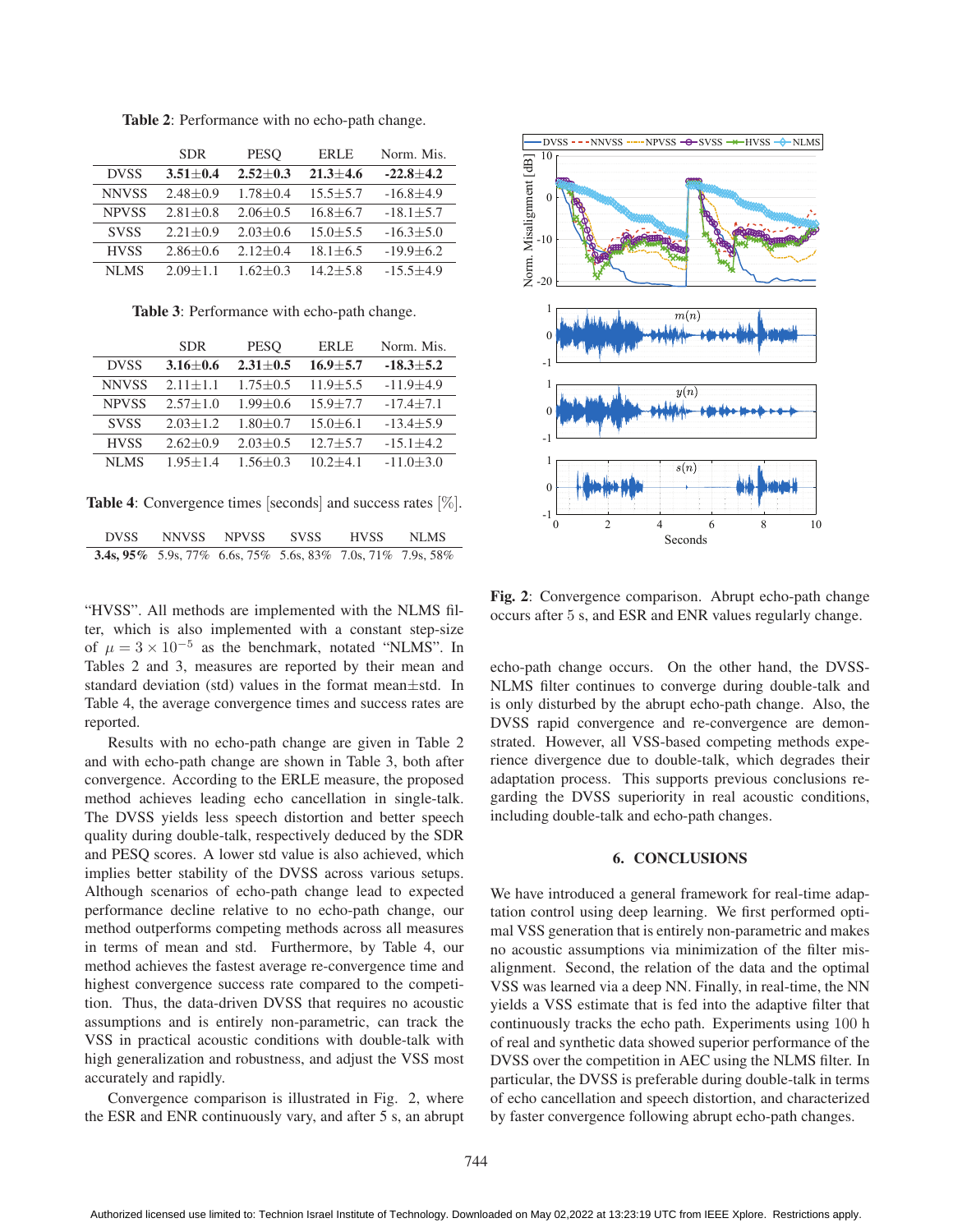|              | <b>SDR</b>     | <b>PESO</b>    | <b>ERLE</b>    | Norm. Mis.      |
|--------------|----------------|----------------|----------------|-----------------|
| <b>DVSS</b>  | $3.51 \pm 0.4$ | $2.52+0.3$     | $21.3 + 4.6$   | $-22.8 + 4.2$   |
| <b>NNVSS</b> | $2.48 \pm 0.9$ | $1.78 \pm 0.4$ | $15.5 \pm 5.7$ | $-16.8 \pm 4.9$ |
| <b>NPVSS</b> | $2.81 + 0.8$   | $2.06 \pm 0.5$ | $16.8 + 6.7$   | $-18.1 + 5.7$   |
| <b>SVSS</b>  | $2.21 + 0.9$   | $2.03 + 0.6$   | $15.0 + 5.5$   | $-16.3 + 5.0$   |
| <b>HVSS</b>  | $2.86 \pm 0.6$ | $2.12+0.4$     | $18.1 + 6.5$   | $-19.9 \pm 6.2$ |
| NLMS         | $2.09 + 1.1$   | $1.62 + 0.3$   | $14.2 + 5.8$   | $-15.5 + 4.9$   |

Table 2: Performance with no echo-path change.

Table 3: Performance with echo-path change.

|              | <b>SDR</b>     | <b>PESO</b>    | <b>ERLE</b>  | Norm. Mis.      |
|--------------|----------------|----------------|--------------|-----------------|
| <b>DVSS</b>  | $3.16 \pm 0.6$ | $2.31 + 0.5$   | $16.9 + 5.7$ | $-18.3 + 5.2$   |
| <b>NNVSS</b> | $2.11 + 1.1$   | $1.75 + 0.5$   | $11.9 + 5.5$ | $-11.9 + 4.9$   |
| <b>NPVSS</b> | $2.57 + 1.0$   | $1.99 + 0.6$   | $15.9 + 7.7$ | $-17.4 + 7.1$   |
| <b>SVSS</b>  | $2.03 + 1.2$   | $1.80 \pm 0.7$ | $15.0 + 6.1$ | $-13.4 \pm 5.9$ |
| <b>HVSS</b>  | $2.62 \pm 0.9$ | $2.03 + 0.5$   | $12.7 + 5.7$ | $-15.1 \pm 4.2$ |
| NLMS         | $1.95 + 1.4$   | $1.56 + 0.3$   | $10.2 + 4.1$ | $-11.0 \pm 3.0$ |

Table 4: Convergence times [seconds] and success rates [%].

| <b>DVSS</b> | <b>NNVSS</b>                                                       | NPVSS | <b>SVSS</b> | <b>HVSS</b> | NLMS |
|-------------|--------------------------------------------------------------------|-------|-------------|-------------|------|
|             | <b>3.4s, 95%</b> 5.9s, 77% 6.6s, 75% 5.6s, 83% 7.0s, 71% 7.9s, 58% |       |             |             |      |

"HVSS". All methods are implemented with the NLMS filter, which is also implemented with a constant step-size of  $\mu = 3 \times 10^{-5}$  as the benchmark, notated "NLMS". In Tables 2 and 3, measures are reported by their mean and standard deviation (std) values in the format mean±std. In Table 4, the average convergence times and success rates are reported.

Results with no echo-path change are given in Table 2 and with echo-path change are shown in Table 3, both after convergence. According to the ERLE measure, the proposed method achieves leading echo cancellation in single-talk. The DVSS yields less speech distortion and better speech quality during double-talk, respectively deduced by the SDR and PESQ scores. A lower std value is also achieved, which implies better stability of the DVSS across various setups. Although scenarios of echo-path change lead to expected performance decline relative to no echo-path change, our method outperforms competing methods across all measures in terms of mean and std. Furthermore, by Table 4, our method achieves the fastest average re-convergence time and highest convergence success rate compared to the competition. Thus, the data-driven DVSS that requires no acoustic assumptions and is entirely non-parametric, can track the VSS in practical acoustic conditions with double-talk with high generalization and robustness, and adjust the VSS most accurately and rapidly.

Convergence comparison is illustrated in Fig. 2, where the ESR and ENR continuously vary, and after 5 s, an abrupt



Fig. 2: Convergence comparison. Abrupt echo-path change occurs after 5 s, and ESR and ENR values regularly change.

echo-path change occurs. On the other hand, the DVSS-NLMS filter continues to converge during double-talk and is only disturbed by the abrupt echo-path change. Also, the DVSS rapid convergence and re-convergence are demonstrated. However, all VSS-based competing methods experience divergence due to double-talk, which degrades their adaptation process. This supports previous conclusions regarding the DVSS superiority in real acoustic conditions, including double-talk and echo-path changes.

### 6. CONCLUSIONS

We have introduced a general framework for real-time adaptation control using deep learning. We first performed optimal VSS generation that is entirely non-parametric and makes no acoustic assumptions via minimization of the filter misalignment. Second, the relation of the data and the optimal VSS was learned via a deep NN. Finally, in real-time, the NN yields a VSS estimate that is fed into the adaptive filter that continuously tracks the echo path. Experiments using 100 <sup>h</sup> of real and synthetic data showed superior performance of the DVSS over the competition in AEC using the NLMS filter. In particular, the DVSS is preferable during double-talk in terms of echo cancellation and speech distortion, and characterized by faster convergence following abrupt echo-path changes.